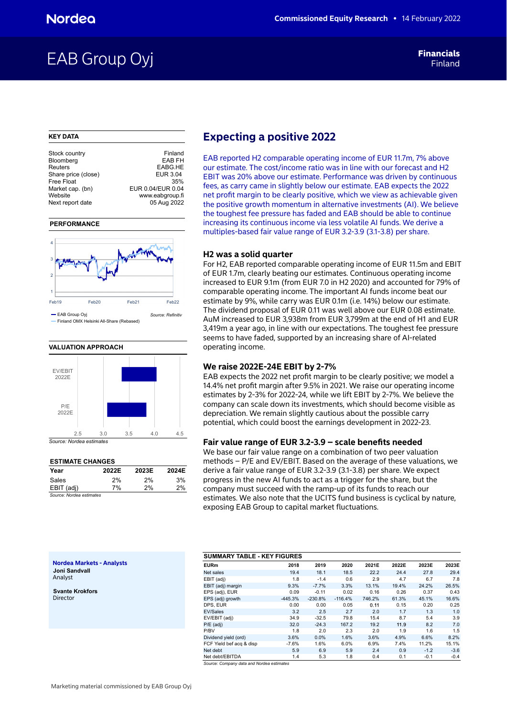## EAB Group Oyj Financials

Financials

## **KEY DATA**

| Stock country       | Finland           |
|---------------------|-------------------|
| Bloomberg           | <b>EAB FH</b>     |
| Reuters             | EABG.HE           |
| Share price (close) | EUR 3.04          |
| <b>Free Float</b>   | 35%               |
| Market cap. (bn)    | EUR 0.04/EUR 0.04 |
| Website             | www.eabgroup.fi   |
| Next report date    | 05 Aug 2022       |
|                     |                   |

## **PERFORMANCE**



Finland OMX Helsinki All-Share (Rebased)



## **ESTIMATE CHANGES**

| --------------------     |       |       |       |
|--------------------------|-------|-------|-------|
| Year                     | 2022E | 2023E | 2024E |
| Sales                    | 2%    | 2%    | 3%    |
| EBIT (adj)               | 7%    | 2%    | 2%    |
| Source: Nordea estimates |       |       |       |

## **Expecting a positive 2022**

EAB reported H2 comparable operating income of EUR 11.7m, 7% above our estimate. The cost/income ratio was in line with our forecast and H2 EBIT was 20% above our estimate. Performance was driven by continuous fees, as carry came in slightly below our estimate. EAB expects the 2022 net profit margin to be clearly positive, which we view as achievable given the positive growth momentum in alternative investments (AI). We believe the toughest fee pressure has faded and EAB should be able to continue increasing its continuous income via less volatile AI funds. We derive a multiples-based fair value range of EUR 3.2-3.9 (3.1-3.8) per share.

## **H2 was a solid quarter**

For H2, EAB reported comparable operating income of EUR 11.5m and EBIT of EUR 1.7m, clearly beating our estimates. Continuous operating income increased to EUR 9.1m (from EUR 7.0 in H2 2020) and accounted for 79% of comparable operating income. The important AI funds income beat our estimate by 9%, while carry was EUR 0.1m (i.e. 14%) below our estimate. The dividend proposal of EUR 0.11 was well above our EUR 0.08 estimate. AuM increased to EUR 3,938m from EUR 3,799m at the end of H1 and EUR 3,419m a year ago, in line with our expectations. The toughest fee pressure seems to have faded, supported by an increasing share of AI-related operating income.

## **We raise 2022E-24E EBIT by 2-7%**

EAB expects the 2022 net profit margin to be clearly positive; we model a 14.4% net profit margin after 9.5% in 2021. We raise our operating income estimates by 2-3% for 2022-24, while we lift EBIT by 2-7%. We believe the company can scale down its investments, which should become visible as depreciation. We remain slightly cautious about the possible carry potential, which could boost the earnings development in 2022-23.

## **Fair value range of EUR 3.2-3.9 – scale benefits needed**

We base our fair value range on a combination of two peer valuation methods – P/E and EV/EBIT. Based on the average of these valuations, we derive a fair value range of EUR 3.2-3.9 (3.1-3.8) per share. We expect progress in the new AI funds to act as a trigger for the share, but the company must succeed with the ramp-up of its funds to reach our estimates. We also note that the UCITS fund business is cyclical by nature, exposing EAB Group to capital market fluctuations.

### **Nordea Markets - Analysts Joni Sandvall** Analyst

**Svante Krokfors** Director

| <b>SUMMARY TABLE - KEY FIGURES</b> |           |           |           |        |       |        |        |
|------------------------------------|-----------|-----------|-----------|--------|-------|--------|--------|
| <b>EURm</b>                        | 2018      | 2019      | 2020      | 2021E  | 2022E | 2023E  | 2023E  |
| Net sales                          | 19.4      | 18.1      | 18.5      | 22.2   | 24.4  | 27.8   | 29.4   |
| EBIT (adj)                         | 1.8       | $-1.4$    | 0.6       | 2.9    | 4.7   | 6.7    | 7.8    |
| EBIT (adj) margin                  | 9.3%      | $-7.7%$   | 3.3%      | 13.1%  | 19.4% | 24.2%  | 26.5%  |
| EPS (adj), EUR                     | 0.09      | $-0.11$   | 0.02      | 0.16   | 0.26  | 0.37   | 0.43   |
| EPS (adj) growth                   | $-445.3%$ | $-230.8%$ | $-116.4%$ | 746.2% | 61.3% | 45.1%  | 16.6%  |
| DPS. EUR                           | 0.00      | 0.00      | 0.05      | 0.11   | 0.15  | 0.20   | 0.25   |
| EV/Sales                           | 3.2       | 2.5       | 2.7       | 2.0    | 1.7   | 1.3    | 1.0    |
| EV/EBIT (adj)                      | 34.9      | $-32.5$   | 79.8      | 15.4   | 8.7   | 5.4    | 3.9    |
| $P/E$ (adj)                        | 32.0      | $-24.3$   | 167.2     | 19.2   | 11.9  | 8.2    | 7.0    |
| P/BV                               | 1.8       | 2.0       | 2.3       | 2.0    | 1.9   | 1.6    | 1.5    |
| Dividend yield (ord)               | 3.6%      | 0.0%      | 1.6%      | 3.6%   | 4.9%  | 6.6%   | 8.2%   |
| FCF Yield bef acq & disp           | $-7.6%$   | 1.6%      | 6.0%      | 6.9%   | 7.4%  | 11.2%  | 15.1%  |
| Net debt                           | 5.9       | 6.9       | 5.9       | 2.4    | 0.9   | $-1.2$ | $-3.6$ |
| Net debt/EBITDA                    | 1.4       | 5.3       | 1.8       | 0.4    | 0.1   | $-0.1$ | $-0.4$ |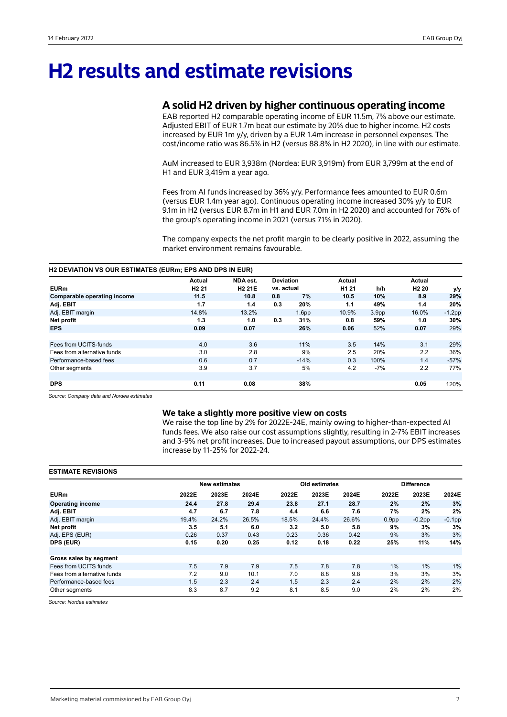## **H2 results and estimate revisions**

## **A solid H2 driven by higher continuous operating income**

EAB reported H2 comparable operating income of EUR 11.5m, 7% above our estimate. Adjusted EBIT of EUR 1.7m beat our estimate by 20% due to higher income. H2 costs increased by EUR 1m y/y, driven by a EUR 1.4m increase in personnel expenses. The cost/income ratio was 86.5% in H2 (versus 88.8% in H2 2020), in line with our estimate.

AuM increased to EUR 3,938m (Nordea: EUR 3,919m) from EUR 3,799m at the end of H1 and EUR 3,419m a year ago.

Fees from AI funds increased by 36% y/y. Performance fees amounted to EUR 0.6m (versus EUR 1.4m year ago). Continuous operating income increased 30% y/y to EUR 9.1m in H2 (versus EUR 8.7m in H1 and EUR 7.0m in H2 2020) and accounted for 76% of the group's operating income in 2021 (versus 71% in 2020).

The company expects the net profit margin to be clearly positive in 2022, assuming the market environment remains favourable.

## **H2 DEVIATION VS OUR ESTIMATES (EURm; EPS AND DPS IN EUR)**

|                             | <b>Actual</b>     | NDA est.      | <b>Deviation</b> |                   | Actual            |                   | Actual            |           |
|-----------------------------|-------------------|---------------|------------------|-------------------|-------------------|-------------------|-------------------|-----------|
| <b>EURm</b>                 | H <sub>2</sub> 21 | <b>H2 21E</b> | vs. actual       |                   | H <sub>1</sub> 21 | h/h               | H <sub>2</sub> 20 | y/y       |
| Comparable operating income | 11.5              | 10.8          | 0.8              | 7%                | 10.5              | 10%               | 8.9               | 29%       |
| Adj. EBIT                   | 1.7               | 1.4           | 0.3              | 20%               | 1.1               | 49%               | 1.4               | 20%       |
| Adj. EBIT margin            | 14.8%             | 13.2%         |                  | 1.6 <sub>pp</sub> | 10.9%             | 3.9 <sub>pp</sub> | 16.0%             | $-1.2$ pp |
| Net profit                  | 1.3               | 1.0           | 0.3              | 31%               | 0.8               | 59%               | 1.0               | 30%       |
| <b>EPS</b>                  | 0.09              | 0.07          |                  | 26%               | 0.06              | 52%               | 0.07              | 29%       |
|                             |                   |               |                  |                   |                   |                   |                   |           |
| Fees from UCITS-funds       | 4.0               | 3.6           |                  | 11%               | 3.5               | 14%               | 3.1               | 29%       |
| Fees from alternative funds | 3.0               | 2.8           |                  | 9%                | 2.5               | 20%               | 2.2               | 36%       |
| Performance-based fees      | 0.6               | 0.7           |                  | $-14%$            | 0.3               | 100%              | 1.4               | $-57%$    |
| Other segments              | 3.9               | 3.7           |                  | 5%                | 4.2               | -7%               | 2.2               | 77%       |
|                             |                   |               |                  |                   |                   |                   |                   |           |
| <b>DPS</b>                  | 0.11              | 0.08          |                  | 38%               |                   |                   | 0.05              | 120%      |

*Source: Company data and Nordea estimates*

## **We take a slightly more positive view on costs**

We raise the top line by 2% for 2022E-24E, mainly owing to higher-than-expected AI funds fees. We also raise our cost assumptions slightly, resulting in 2-7% EBIT increases and 3-9% net profit increases. Due to increased payout assumptions, our DPS estimates increase by 11-25% for 2022-24.

## **ESTIMATE REVISIONS**

|                             |       | <b>New estimates</b> |       |       | Old estimates |       |                   | <b>Difference</b> |           |
|-----------------------------|-------|----------------------|-------|-------|---------------|-------|-------------------|-------------------|-----------|
| <b>EURm</b>                 | 2022E | 2023E                | 2024E | 2022E | 2023E         | 2024E | 2022E             | 2023E             | 2024E     |
| <b>Operating income</b>     | 24.4  | 27.8                 | 29.4  | 23.8  | 27.1          | 28.7  | 2%                | 2%                | 3%        |
| Adj. EBIT                   | 4.7   | 6.7                  | 7.8   | 4.4   | 6.6           | 7.6   | 7%                | 2%                | 2%        |
| Adj. EBIT margin            | 19.4% | 24.2%                | 26.5% | 18.5% | 24.4%         | 26.6% | 0.9 <sub>pp</sub> | $-0.2$ pp         | $-0.1$ pp |
| Net profit                  | 3.5   | 5.1                  | 6.0   | 3.2   | 5.0           | 5.8   | 9%                | 3%                | 3%        |
| Adj. EPS (EUR)              | 0.26  | 0.37                 | 0.43  | 0.23  | 0.36          | 0.42  | 9%                | 3%                | 3%        |
| DPS (EUR)                   | 0.15  | 0.20                 | 0.25  | 0.12  | 0.18          | 0.22  | 25%               | 11%               | 14%       |
| Gross sales by segment      |       |                      |       |       |               |       |                   |                   |           |
| Fees from UCITS funds       | 7.5   | 7.9                  | 7.9   | 7.5   | 7.8           | 7.8   | 1%                | 1%                | $1\%$     |
| Fees from alternative funds | 7.2   | 9.0                  | 10.1  | 7.0   | 8.8           | 9.8   | 3%                | 3%                | 3%        |
| Performance-based fees      | 1.5   | 2.3                  | 2.4   | 1.5   | 2.3           | 2.4   | 2%                | 2%                | 2%        |
| Other segments              | 8.3   | 8.7                  | 9.2   | 8.1   | 8.5           | 9.0   | 2%                | 2%                | 2%        |

*Source: Nordea estimates*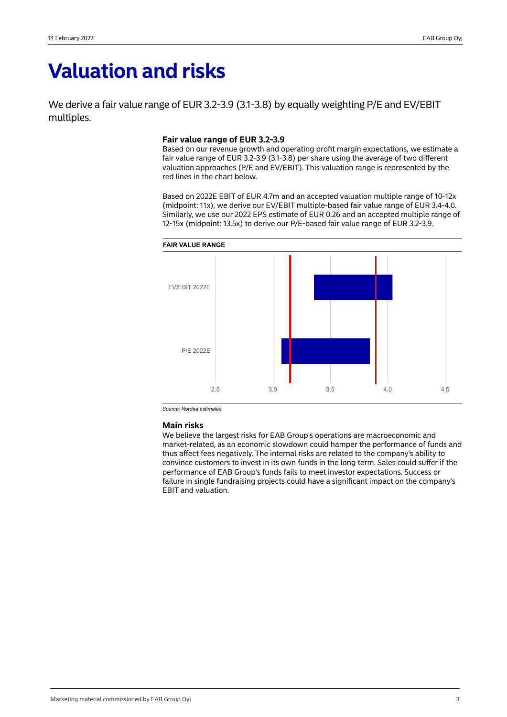## **Valuation and risks**

We derive a fair value range of EUR 3.2-3.9 (3.1-3.8) by equally weighting P/E and EV/EBIT multiples.

## **Fair value range of EUR 3.2-3.9**

Based on our revenue growth and operating profit margin expectations, we estimate a fair value range of EUR 3.2-3.9 (3.1-3.8) per share using the average of two different valuation approaches (P/E and EV/EBIT). This valuation range is represented by the red lines in the chart below.

Based on 2022E EBIT of EUR 4.7m and an accepted valuation multiple range of 10-12x (midpoint: 11x), we derive our EV/EBIT multiple-based fair value range of EUR 3.4-4.0. Similarly, we use our 2022 EPS estimate of EUR 0.26 and an accepted multiple range of 12-15x (midpoint: 13.5x) to derive our P/E-based fair value range of EUR 3.2-3.9.



*Source: Nordea estimates*

## **Main risks**

We believe the largest risks for EAB Group's operations are macroeconomic and market-related, as an economic slowdown could hamper the performance of funds and thus affect fees negatively. The internal risks are related to the company's ability to convince customers to invest in its own funds in the long term. Sales could suffer if the performance of EAB Group's funds fails to meet investor expectations. Success or failure in single fundraising projects could have a significant impact on the company's EBIT and valuation.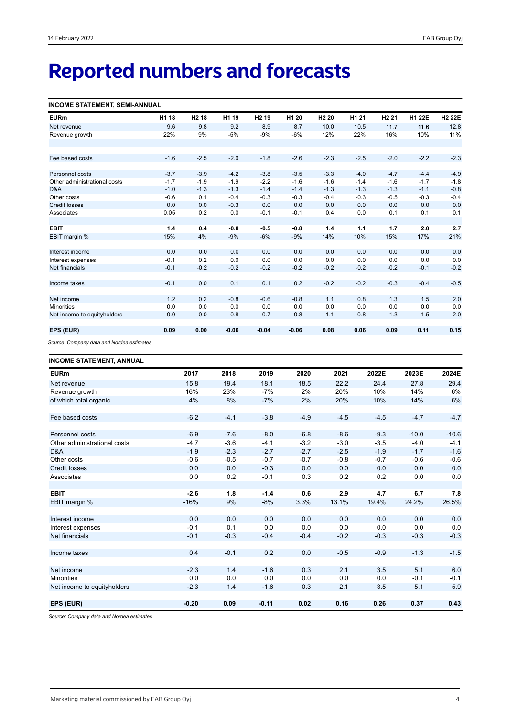# **Reported numbers and forecasts**

## **INCOME STATEMENT, SEMI-ANNUAL**

| <b>EURm</b>                  | H1 18  | H <sub>2</sub> 18 | H1 19   | H <sub>2</sub> 19 | H1 20   | H <sub>2</sub> 20 | H <sub>1</sub> 21 | H <sub>2</sub> 21 | H1 22E | <b>H2 22E</b> |
|------------------------------|--------|-------------------|---------|-------------------|---------|-------------------|-------------------|-------------------|--------|---------------|
| Net revenue                  | 9.6    | 9.8               | 9.2     | 8.9               | 8.7     | 10.0              | 10.5              | 11.7              | 11.6   | 12.8          |
| Revenue growth               | 22%    | 9%                | $-5%$   | $-9%$             | $-6%$   | 12%               | 22%               | 16%               | 10%    | 11%           |
|                              |        |                   |         |                   |         |                   |                   |                   |        |               |
|                              |        |                   |         |                   |         |                   |                   |                   |        |               |
| Fee based costs              | $-1.6$ | $-2.5$            | $-2.0$  | $-1.8$            | $-2.6$  | $-2.3$            | $-2.5$            | $-2.0$            | $-2.2$ | $-2.3$        |
|                              |        |                   |         |                   |         |                   |                   |                   |        |               |
| Personnel costs              | $-3.7$ | $-3.9$            | $-4.2$  | $-3.8$            | $-3.5$  | $-3.3$            | $-4.0$            | $-4.7$            | $-4.4$ | $-4.9$        |
| Other administrational costs | $-1.7$ | $-1.9$            | $-1.9$  | $-2.2$            | $-1.6$  | $-1.6$            | $-1.4$            | $-1.6$            | $-1.7$ | $-1.8$        |
| D&A                          | $-1.0$ | $-1.3$            | $-1.3$  | $-1.4$            | $-1.4$  | $-1.3$            | $-1.3$            | $-1.3$            | $-1.1$ | $-0.8$        |
| Other costs                  | $-0.6$ | 0.1               | $-0.4$  | $-0.3$            | $-0.3$  | $-0.4$            | $-0.3$            | $-0.5$            | $-0.3$ | $-0.4$        |
| <b>Credit losses</b>         | 0.0    | 0.0               | $-0.3$  | 0.0               | 0.0     | 0.0               | 0.0               | 0.0               | 0.0    | 0.0           |
| Associates                   | 0.05   | 0.2               | 0.0     | $-0.1$            | $-0.1$  | 0.4               | 0.0               | 0.1               | 0.1    | 0.1           |
|                              |        |                   |         |                   |         |                   |                   |                   |        |               |
| <b>EBIT</b>                  | 1.4    | 0.4               | $-0.8$  | $-0.5$            | $-0.8$  | 1.4               | 1.1               | 1.7               | 2.0    | 2.7           |
| EBIT margin %                | 15%    | 4%                | $-9%$   | $-6%$             | $-9%$   | 14%               | 10%               | 15%               | 17%    | 21%           |
|                              |        |                   |         |                   |         |                   |                   |                   |        |               |
| Interest income              | 0.0    | 0.0               | 0.0     | 0.0               | 0.0     | 0.0               | 0.0               | 0.0               | 0.0    | 0.0           |
| Interest expenses            | $-0.1$ | 0.2               | 0.0     | 0.0               | 0.0     | 0.0               | 0.0               | 0.0               | 0.0    | 0.0           |
| Net financials               | $-0.1$ | $-0.2$            | $-0.2$  | $-0.2$            | $-0.2$  | $-0.2$            | $-0.2$            | $-0.2$            | $-0.1$ | $-0.2$        |
|                              |        |                   |         |                   |         |                   |                   |                   |        |               |
| Income taxes                 | $-0.1$ | 0.0               | 0.1     | 0.1               | 0.2     | $-0.2$            | $-0.2$            | $-0.3$            | $-0.4$ | $-0.5$        |
|                              |        |                   |         |                   |         |                   |                   |                   |        |               |
| Net income                   | 1.2    | 0.2               | $-0.8$  | $-0.6$            | $-0.8$  | 1.1               | 0.8               | 1.3               | 1.5    | 2.0           |
| <b>Minorities</b>            | 0.0    | 0.0               | 0.0     | 0.0               | 0.0     | 0.0               | 0.0               | 0.0               | 0.0    | 0.0           |
| Net income to equityholders  | 0.0    | 0.0               | $-0.8$  | $-0.7$            | $-0.8$  | 1.1               | 0.8               | 1.3               | 1.5    | 2.0           |
|                              |        |                   |         |                   |         |                   |                   |                   |        |               |
| EPS (EUR)                    | 0.09   | 0.00              | $-0.06$ | $-0.04$           | $-0.06$ | 0.08              | 0.06              | 0.09              | 0.11   | 0.15          |
|                              |        |                   |         |                   |         |                   |                   |                   |        |               |

*Source: Company data and Nordea estimates*

## **INCOME STATEMENT, ANNUAL**

| <b>EURm</b>                  | 2017    | 2018   | 2019    | 2020   | 2021   | 2022E  | 2023E   | 2024E   |
|------------------------------|---------|--------|---------|--------|--------|--------|---------|---------|
| Net revenue                  | 15.8    | 19.4   | 18.1    | 18.5   | 22.2   | 24.4   | 27.8    | 29.4    |
| Revenue growth               | 16%     | 23%    | $-7%$   | 2%     | 20%    | 10%    | 14%     | 6%      |
| of which total organic       | 4%      | 8%     | $-7%$   | 2%     | 20%    | 10%    | 14%     | 6%      |
| Fee based costs              | $-6.2$  | $-4.1$ | $-3.8$  | $-4.9$ | $-4.5$ | $-4.5$ | $-4.7$  | $-4.7$  |
| Personnel costs              | $-6.9$  | $-7.6$ | $-8.0$  | $-6.8$ | $-8.6$ | $-9.3$ | $-10.0$ | $-10.6$ |
| Other administrational costs | $-4.7$  | $-3.6$ | $-4.1$  | $-3.2$ | $-3.0$ | $-3.5$ | $-4.0$  | $-4.1$  |
| D&A                          | $-1.9$  | $-2.3$ | $-2.7$  | $-2.7$ | $-2.5$ | $-1.9$ | $-1.7$  | $-1.6$  |
| Other costs                  | $-0.6$  | $-0.5$ | $-0.7$  | $-0.7$ | $-0.8$ | $-0.7$ | $-0.6$  | $-0.6$  |
| <b>Credit losses</b>         | 0.0     | 0.0    | $-0.3$  | 0.0    | 0.0    | 0.0    | 0.0     | 0.0     |
| Associates                   | 0.0     | 0.2    | $-0.1$  | 0.3    | 0.2    | 0.2    | 0.0     | 0.0     |
|                              |         |        |         |        |        |        |         |         |
| <b>EBIT</b>                  | $-2.6$  | 1.8    | $-1.4$  | 0.6    | 2.9    | 4.7    | 6.7     | 7.8     |
| EBIT margin %                | $-16%$  | 9%     | $-8%$   | 3.3%   | 13.1%  | 19.4%  | 24.2%   | 26.5%   |
|                              |         |        |         |        |        |        |         |         |
| Interest income              | 0.0     | 0.0    | 0.0     | 0.0    | 0.0    | 0.0    | 0.0     | 0.0     |
| Interest expenses            | $-0.1$  | 0.1    | 0.0     | 0.0    | 0.0    | 0.0    | 0.0     | 0.0     |
| Net financials               | $-0.1$  | $-0.3$ | $-0.4$  | $-0.4$ | $-0.2$ | $-0.3$ | $-0.3$  | $-0.3$  |
|                              |         |        |         |        |        |        |         |         |
| Income taxes                 | 0.4     | $-0.1$ | 0.2     | 0.0    | $-0.5$ | $-0.9$ | $-1.3$  | $-1.5$  |
| Net income                   | $-2.3$  | 1.4    | $-1.6$  | 0.3    | 2.1    | 3.5    | 5.1     | 6.0     |
| <b>Minorities</b>            | 0.0     | 0.0    | 0.0     | 0.0    | 0.0    | 0.0    | $-0.1$  | $-0.1$  |
| Net income to equityholders  | $-2.3$  | 1.4    | $-1.6$  | 0.3    | 2.1    | 3.5    | 5.1     | 5.9     |
|                              |         |        |         |        |        |        |         |         |
| EPS (EUR)                    | $-0.20$ | 0.09   | $-0.11$ | 0.02   | 0.16   | 0.26   | 0.37    | 0.43    |
|                              |         |        |         |        |        |        |         |         |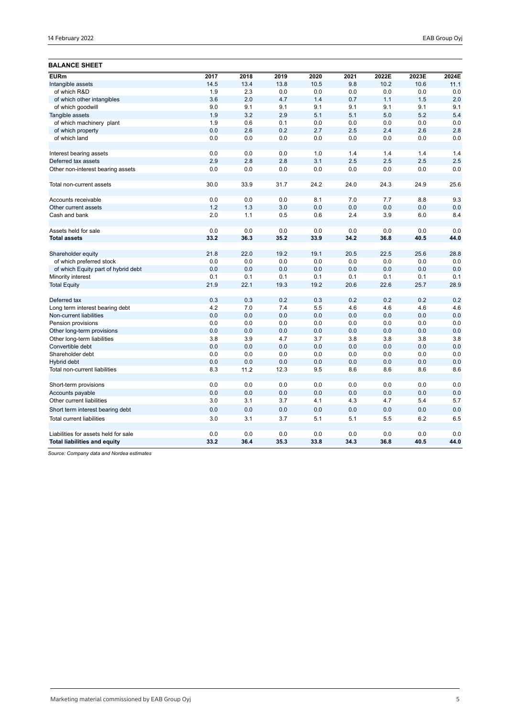## **BALANCE SHEET**

| <b>EURm</b>                                 | 2017       | 2018       | 2019       | 2020       | 2021       | 2022E      | 2023E      | 2024E      |
|---------------------------------------------|------------|------------|------------|------------|------------|------------|------------|------------|
| Intangible assets                           | 14.5       | 13.4       | 13.8       | 10.5       | 9.8        | 10.2       | 10.6       | 11.1       |
| of which R&D                                | 1.9        | 2.3        | 0.0        | 0.0        | 0.0        | 0.0        | 0.0        | 0.0        |
| of which other intangibles                  | 3.6        | 2.0        | 4.7        | 1.4        | 0.7        | 1.1        | 1.5        | 2.0        |
| of which goodwill                           | 9.0        | 9.1        | 9.1        | 9.1        | 9.1        | 9.1        | 9.1        | 9.1        |
| Tangible assets                             | 1.9        | 3.2        | 2.9        | 5.1        | 5.1        | 5.0        | 5.2        | 5.4        |
| of which machinery plant                    | 1.9        | 0.6        | 0.1        | 0.0        | 0.0        | 0.0        | 0.0        | 0.0        |
| of which property                           | 0.0        | 2.6        | 0.2        | 2.7        | 2.5        | 2.4        | 2.6        | 2.8        |
| of which land                               | 0.0        | 0.0        | 0.0        | 0.0        | 0.0        | 0.0        | 0.0        | 0.0        |
|                                             |            |            |            |            |            |            |            |            |
| Interest bearing assets                     | 0.0        | 0.0        | 0.0        | 1.0        | 1.4        | 1.4        | 1.4        | 1.4        |
| Deferred tax assets                         | 2.9        | 2.8        | 2.8        | 3.1        | 2.5        | 2.5        | 2.5        | 2.5        |
| Other non-interest bearing assets           | 0.0        | 0.0        | 0.0        | 0.0        | 0.0        | 0.0        | 0.0        | 0.0        |
| Total non-current assets                    | 30.0       | 33.9       | 31.7       | 24.2       | 24.0       | 24.3       | 24.9       | 25.6       |
|                                             |            |            |            |            |            |            |            |            |
| Accounts receivable<br>Other current assets | 0.0<br>1.2 | 0.0<br>1.3 | 0.0<br>3.0 | 8.1<br>0.0 | 7.0<br>0.0 | 7.7<br>0.0 | 8.8<br>0.0 | 9.3<br>0.0 |
| Cash and bank                               | 2.0        | 1.1        | 0.5        | 0.6        | 2.4        | 3.9        | 6.0        | 8.4        |
|                                             |            |            |            |            |            |            |            |            |
| Assets held for sale                        | 0.0        | 0.0        | 0.0        | 0.0        | 0.0        | 0.0        | 0.0        | 0.0        |
| <b>Total assets</b>                         | 33.2       | 36.3       | 35.2       | 33.9       | 34.2       | 36.8       | 40.5       | 44.0       |
| Shareholder equity                          | 21.8       | 22.0       | 19.2       | 19.1       | 20.5       | 22.5       | 25.6       | 28.8       |
| of which preferred stock                    | 0.0        | 0.0        | 0.0        | 0.0        | 0.0        | 0.0        | 0.0        | 0.0        |
| of which Equity part of hybrid debt         | 0.0        | 0.0        | 0.0        | 0.0        | 0.0        | 0.0        | 0.0        | 0.0        |
| Minority interest                           | 0.1        | 0.1        | 0.1        | 0.1        | 0.1        | 0.1        | 0.1        | 0.1        |
| <b>Total Equity</b>                         | 21.9       | 22.1       | 19.3       | 19.2       | 20.6       | 22.6       | 25.7       | 28.9       |
| Deferred tax                                | 0.3        | 0.3        | 0.2        | 0.3        | 0.2        | 0.2        | 0.2        | 0.2        |
| Long term interest bearing debt             | 4.2        | 7.0        | 7.4        | 5.5        | 4.6        | 4.6        | 4.6        | 4.6        |
| Non-current liabilities                     | 0.0        | 0.0        | 0.0        | 0.0        | 0.0        | 0.0        | 0.0        | 0.0        |
| Pension provisions                          | 0.0        | 0.0        | 0.0        | 0.0        | 0.0        | 0.0        | 0.0        | 0.0        |
| Other long-term provisions                  | 0.0        | 0.0        | 0.0        | 0.0        | 0.0        | 0.0        | 0.0        | 0.0        |
| Other long-term liabilities                 | 3.8        | 3.9        | 4.7        | 3.7        | 3.8        | 3.8        | 3.8        | 3.8        |
| Convertible debt                            | 0.0        | 0.0        | 0.0        | 0.0        | 0.0        | 0.0        | 0.0        | 0.0        |
| Shareholder debt                            | 0.0        | 0.0        | 0.0        | 0.0        | 0.0        | 0.0        | 0.0        | 0.0        |
| Hybrid debt                                 | 0.0        | 0.0        | 0.0        | 0.0        | 0.0        | 0.0        | 0.0        | 0.0        |
| Total non-current liabilities               | 8.3        | 11.2       | 12.3       | 9.5        | 8.6        | 8.6        | 8.6        | 8.6        |
| Short-term provisions                       | 0.0        | 0.0        | 0.0        | 0.0        | 0.0        | 0.0        | 0.0        | 0.0        |
| Accounts payable                            | 0.0        | 0.0        | 0.0        | 0.0        | 0.0        | 0.0        | 0.0        | 0.0        |
| Other current liabilities                   | 3.0        | 3.1        | 3.7        | 4.1        | 4.3        | 4.7        | 5.4        | 5.7        |
| Short term interest bearing debt            | 0.0        | 0.0        | 0.0        | 0.0        | 0.0        | 0.0        | 0.0        | 0.0        |
| <b>Total current liabilities</b>            | 3.0        | 3.1        | 3.7        | 5.1        | 5.1        | 5.5        | 6.2        | 6.5        |
|                                             |            |            |            |            |            |            |            |            |
| Liabilities for assets held for sale        | 0.0        | 0.0        | 0.0        | 0.0        | 0.0        | 0.0        | 0.0        | 0.0        |
| <b>Total liabilities and equity</b>         | 33.2       | 36.4       | 35.3       | 33.8       | 34.3       | 36.8       | 40.5       | 44.0       |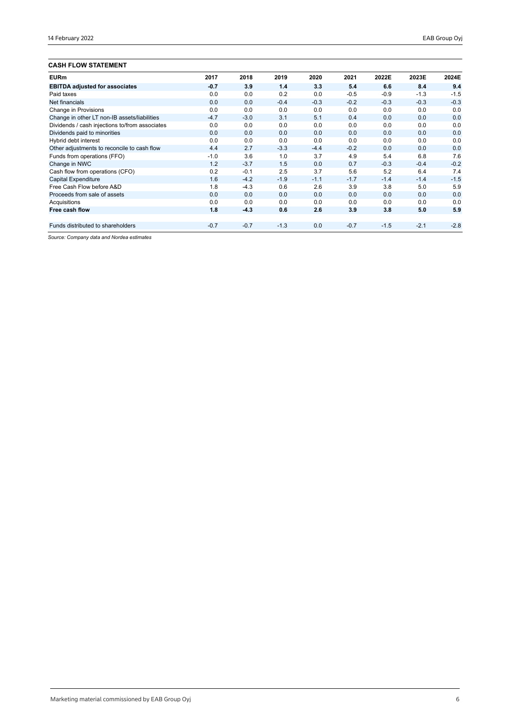## **CASH FLOW STATEMENT**

| <b>UAJH FLUW JIAI EMENI</b>                    |        |        |        |        |        |        |        |        |
|------------------------------------------------|--------|--------|--------|--------|--------|--------|--------|--------|
| <b>EURm</b>                                    | 2017   | 2018   | 2019   | 2020   | 2021   | 2022E  | 2023E  | 2024E  |
| <b>EBITDA adjusted for associates</b>          | $-0.7$ | 3.9    | 1.4    | 3.3    | 5.4    | 6.6    | 8.4    | 9.4    |
| Paid taxes                                     | 0.0    | 0.0    | 0.2    | 0.0    | $-0.5$ | $-0.9$ | $-1.3$ | $-1.5$ |
| Net financials                                 | 0.0    | 0.0    | $-0.4$ | $-0.3$ | $-0.2$ | $-0.3$ | $-0.3$ | $-0.3$ |
| Change in Provisions                           | 0.0    | 0.0    | 0.0    | 0.0    | 0.0    | 0.0    | 0.0    | 0.0    |
| Change in other LT non-IB assets/liabilities   | $-4.7$ | $-3.0$ | 3.1    | 5.1    | 0.4    | 0.0    | 0.0    | 0.0    |
| Dividends / cash injections to/from associates | 0.0    | 0.0    | 0.0    | 0.0    | 0.0    | 0.0    | 0.0    | 0.0    |
| Dividends paid to minorities                   | 0.0    | 0.0    | 0.0    | 0.0    | 0.0    | 0.0    | 0.0    | 0.0    |
| Hybrid debt interest                           | 0.0    | 0.0    | 0.0    | 0.0    | 0.0    | 0.0    | 0.0    | 0.0    |
| Other adjustments to reconcile to cash flow    | 4.4    | 2.7    | $-3.3$ | $-4.4$ | $-0.2$ | 0.0    | 0.0    | 0.0    |
| Funds from operations (FFO)                    | $-1.0$ | 3.6    | 1.0    | 3.7    | 4.9    | 5.4    | 6.8    | 7.6    |
| Change in NWC                                  | 1.2    | $-3.7$ | 1.5    | 0.0    | 0.7    | $-0.3$ | $-0.4$ | $-0.2$ |
| Cash flow from operations (CFO)                | 0.2    | $-0.1$ | 2.5    | 3.7    | 5.6    | 5.2    | 6.4    | 7.4    |
| <b>Capital Expenditure</b>                     | 1.6    | $-4.2$ | $-1.9$ | $-1.1$ | $-1.7$ | $-1.4$ | $-1.4$ | $-1.5$ |
| Free Cash Flow before A&D                      | 1.8    | $-4.3$ | 0.6    | 2.6    | 3.9    | 3.8    | 5.0    | 5.9    |
| Proceeds from sale of assets                   | 0.0    | 0.0    | 0.0    | 0.0    | 0.0    | 0.0    | 0.0    | 0.0    |
| Acquisitions                                   | 0.0    | 0.0    | 0.0    | 0.0    | 0.0    | 0.0    | 0.0    | 0.0    |
| Free cash flow                                 | 1.8    | $-4.3$ | 0.6    | 2.6    | 3.9    | 3.8    | 5.0    | 5.9    |
|                                                |        |        |        |        |        |        |        |        |
| Funds distributed to shareholders              | $-0.7$ | $-0.7$ | $-1.3$ | 0.0    | $-0.7$ | $-1.5$ | $-2.1$ | $-2.8$ |
|                                                |        |        |        |        |        |        |        |        |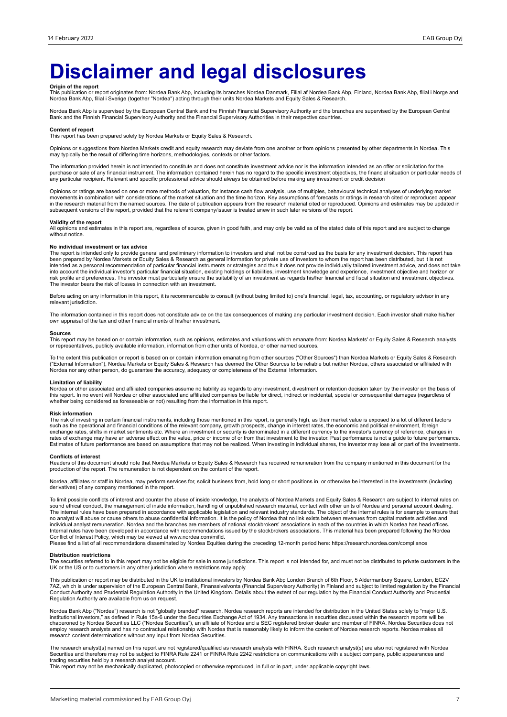# **Disclaimer and legal disclosures**

**Origin of the report**<br>This publication or report originates from: Nordea Bank Abp, including its branches Nordea Danmark, Filial af Nordea Bank Abp, Mordea Bank Abp, filial i Norge and<br>Nordea Bank Abp, filial i Sverige (t

Nordea Bank Abp is supervised by the European Central Bank and the Finnish Financial Supervisory Authority and the branches are supervised by the European Central<br>Bank and the Finnish Financial Supervisory Authority and th

#### **Content of report**

This report has been prepared solely by Nordea Markets or Equity Sales & Research.

Opinions or suggestions from Nordea Markets credit and equity research may deviate from one another or from opinions presented by other departments in Nordea. This may typically be the result of differing time horizons, methodologies, contexts or other factors.

The information provided herein is not intended to constitute and does not constitute investment advice nor is the information intended as an offer or solicitation for the purchase or sale of any financial instrument. The information contained herein has no regard to the specific investment objectives, the financial situation or particular needs of any particular recipient. Relevant and specific professional advice should always be obtained before making any investment or credit decision

Opinions or ratings are based on one or more methods of valuation, for instance cash flow analysis, use of multiples, behavioural technical analyses of underlying market movements in combination with considerations of the market situation and the time horizon. Key assumptions of forecasts or ratings in research cited or reproduced appear<br>in the research material from the named sources. The subsequent versions of the report, provided that the relevant company/issuer is treated anew in such later versions of the report.

### **Validity of the report**

All opinions and estimates in this report are, regardless of source, given in good faith, and may only be valid as of the stated date of this report and are subject to change without notice.

#### **No individual investment or tax advice**

The report is intended only to provide general and preliminary information to investors and shall not be construed as the basis for any investment decision. This report has<br>been prepared by Nordea Markets or Equity Sales & into account the individual investor's particular financial situation, existing holdings or liabilities, investment knowledge and experience, investment objective and horizon or<br>risk profile and preferences. The investor m The investor bears the risk of losses in connection with an investment.

Before acting on any information in this report, it is recommendable to consult (without being limited to) one's financial, legal, tax, accounting, or regulatory advisor in any relevant jurisdiction.

The information contained in this report does not constitute advice on the tax consequences of making any particular investment decision. Each investor shall make his/her own appraisal of the tax and other financial merits of his/her investment.

#### **Sources**

This report may be based on or contain information, such as opinions, estimates and valuations which emanate from: Nordea Markets' or Equity Sales & Research analysts or representatives, publicly available information, information from other units of Nordea, or other named sources.

To the extent this publication or report is based on or contain information emanating from other sources ("Other Sources") than Nordea Markets or Equity Sales & Research<br>("External Information"), Nordea Markets or Equity S Nordea nor any other person, do guarantee the accuracy, adequacy or completeness of the External Information.

### **Limitation of liability**

Nordea or other associated and affiliated companies assume no liability as regards to any investment, divestment or retention decision taken by the investor on the basis of<br>this report. In no event will Nordea or other ass whether being considered as foreseeable or not) resulting from the information in this report.

#### **Risk information**

The risk of investing in certain financial instruments, including those mentioned in this report, is generally high, as their market value is exposed to a lot of different factors<br>such as the operational and financial cond exchange rates, shifts in market sentiments etc. Where an investment or security is denominated in a different currency to the investor's currency of reference, changes in<br>rates of exchange may have an adverse effect on th Estimates of future performance are based on assumptions that may not be realized. When investing in individual shares, the investor may lose all or part of the investments.

#### **Conflicts of interest**

Readers of this document should note that Nordea Markets or Equity Sales & Research has received remuneration from the company mentioned in this document for the<br>production of the report. The remuneration is not dependent

Nordea, affiliates or staff in Nordea, may perform services for, solicit business from, hold long or short positions in, or otherwise be interested in the investments (including derivatives) of any company mentioned in the report.

To limit possible conflicts of interest and counter the abuse of inside knowledge, the analysts of Nordea Markets and Equity Sales & Research are subject to internal rules on sound ethical conduct, the management of inside information, handling of unpublished research material, contact with other units of Nordea and personal account dealing.<br>The internal rules have been prepared in accordance w individual analyst remuneration. Nordea and the branches are members of national stockbrokers' associations in each of the countries in which Nordea has head offices.<br>Internal rules have been developed in accordance with r Conflict of Interest Policy, which may be viewed at www.nordea.com/mifid.

Please find a list of all recommendations disseminated by Nordea Equities during the preceding 12-month period here: https://research.nordea.com/compliance

#### **Distribution restrictions**

The securities referred to in this report may not be eligible for sale in some jurisdictions. This report is not intended for, and must not be distributed to private customers in the<br>UK or the US or to customers in any oth

This publication or report may be distributed in the UK to institutional investors by Nordea Bank Abp London Branch of 6th Floor, 5 Aldermanbury Square, London, EC2V<br>7AZ, which is under supervision of the European Central Conduct Authority and Prudential Regulation Authority in the United Kingdom. Details about the extent of our regulation by the Financial Conduct Authority and Prudential Regulation Authority are available from us on request.

Nordea Bank Abp ("Nordea") research is not "globally branded" research. Nordea research reports are intended for distribution in the United States solely to "major U.S.<br>institutional investors," as defined in Rule 15a-6 un employ research analysts and has no contractual relationship with Nordea that is reasonably likely to inform the content of Nordea research reports. Nordea makes all research content determinations without any input from Nordea Securities.

The research analyst(s) named on this report are not registered/qualified as research analysts with FINRA. Such research analyst(s) are also not registered with Nordea Securities and therefore may not be subject to FINRA Rule 2241 or FINRA Rule 2242 restrictions on communications with a subject company, public appearances and trading securities held by a research analyst account.

This report may not be mechanically duplicated, photocopied or otherwise reproduced, in full or in part, under applicable copyright laws.